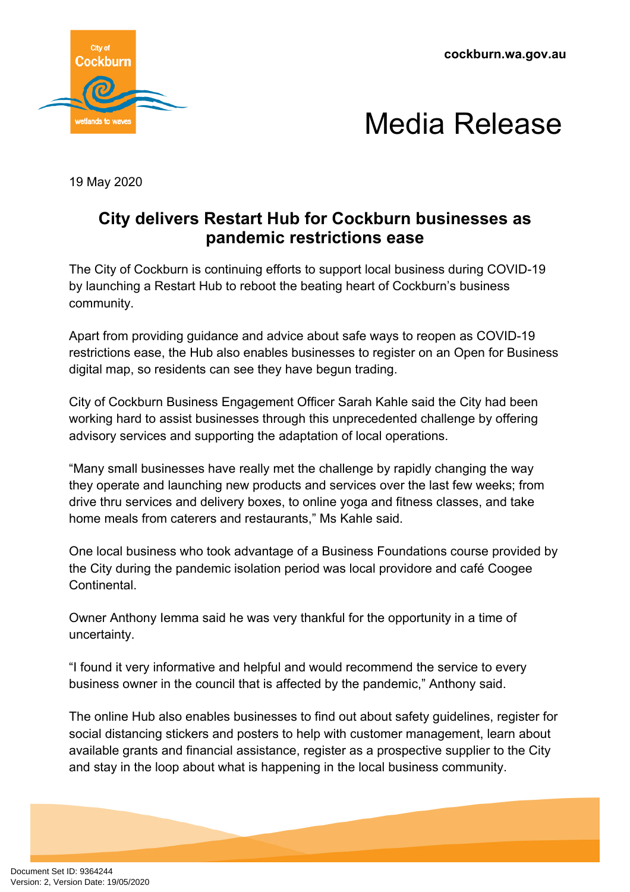**cockburn.wa.gov.au**





19 May 2020

## **City delivers Restart Hub for Cockburn businesses as pandemic restrictions ease**

The City of Cockburn is continuing efforts to support local business during COVID-19 by launching a Restart Hub to reboot the beating heart of Cockburn's business community.

Apart from providing guidance and advice about safe ways to reopen as COVID-19 restrictions ease, the Hub also enables businesses to register on an Open for Business digital map, so residents can see they have begun trading.

City of Cockburn Business Engagement Officer Sarah Kahle said the City had been working hard to assist businesses through this unprecedented challenge by offering advisory services and supporting the adaptation of local operations.

"Many small businesses have really met the challenge by rapidly changing the way they operate and launching new products and services over the last few weeks; from drive thru services and delivery boxes, to online yoga and fitness classes, and take home meals from caterers and restaurants," Ms Kahle said.

One local business who took advantage of a Business Foundations course provided by the City during the pandemic isolation period was local providore and café Coogee Continental.

Owner Anthony Iemma said he was very thankful for the opportunity in a time of uncertainty.

"I found it very informative and helpful and would recommend the service to every business owner in the council that is affected by the pandemic," Anthony said.

The online Hub also enables businesses to find out about safety guidelines, register for social distancing stickers and posters to help with customer management, learn about available grants and financial assistance, register as a prospective supplier to the City and stay in the loop about what is happening in the local business community.